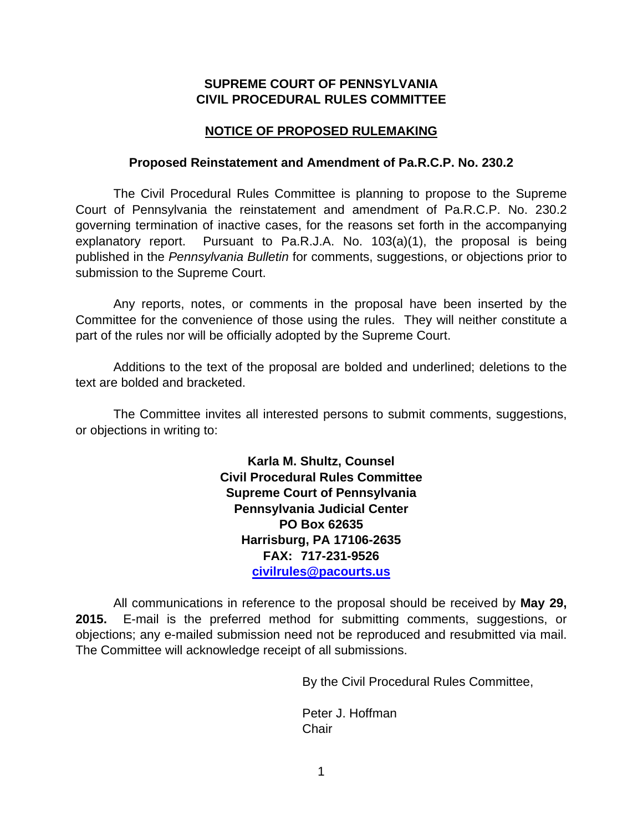## **SUPREME COURT OF PENNSYLVANIA CIVIL PROCEDURAL RULES COMMITTEE**

## **NOTICE OF PROPOSED RULEMAKING**

#### **Proposed Reinstatement and Amendment of Pa.R.C.P. No. 230.2**

The Civil Procedural Rules Committee is planning to propose to the Supreme Court of Pennsylvania the reinstatement and amendment of Pa.R.C.P. No. 230.2 governing termination of inactive cases, for the reasons set forth in the accompanying explanatory report. Pursuant to Pa.R.J.A. No. 103(a)(1), the proposal is being published in the *Pennsylvania Bulletin* for comments, suggestions, or objections prior to submission to the Supreme Court.

Any reports, notes, or comments in the proposal have been inserted by the Committee for the convenience of those using the rules. They will neither constitute a part of the rules nor will be officially adopted by the Supreme Court.

Additions to the text of the proposal are bolded and underlined; deletions to the text are bolded and bracketed.

The Committee invites all interested persons to submit comments, suggestions, or objections in writing to:

> **Karla M. Shultz, Counsel Civil Procedural Rules Committee Supreme Court of Pennsylvania Pennsylvania Judicial Center PO Box 62635 Harrisburg, PA 17106-2635 FAX: 717-231-9526 [civilrules@pacourts.us](mailto:civilrules@pacourts.us)**

All communications in reference to the proposal should be received by **May 29, 2015.** E-mail is the preferred method for submitting comments, suggestions, or objections; any e-mailed submission need not be reproduced and resubmitted via mail. The Committee will acknowledge receipt of all submissions.

By the Civil Procedural Rules Committee,

Peter J. Hoffman **Chair**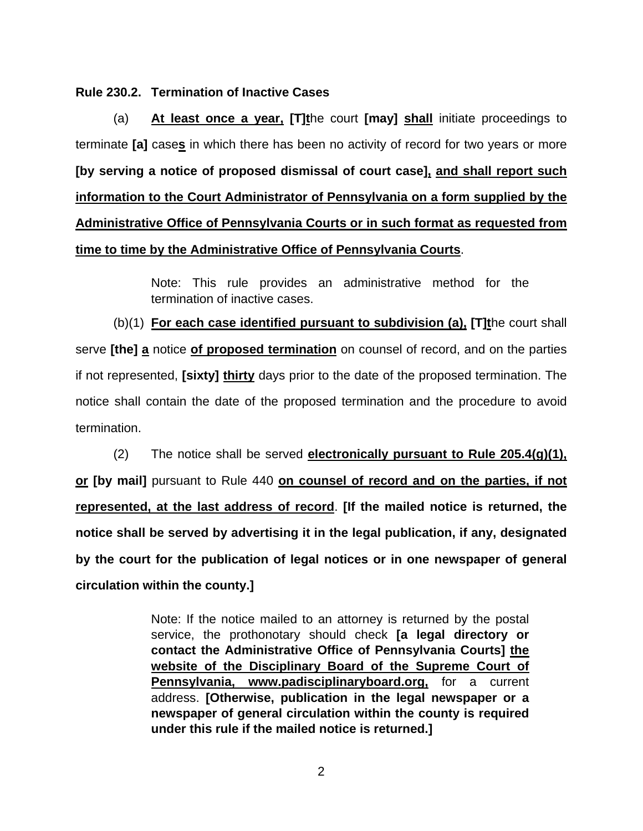#### **Rule 230.2. Termination of Inactive Cases**

(a) **At least once a year, [T]t**he court **[may] shall** initiate proceedings to terminate **[a]** case**s** in which there has been no activity of record for two years or more **[by serving a notice of proposed dismissal of court case], and shall report such information to the Court Administrator of Pennsylvania on a form supplied by the Administrative Office of Pennsylvania Courts or in such format as requested from time to time by the Administrative Office of Pennsylvania Courts**.

> Note: This rule provides an administrative method for the termination of inactive cases.

(b)(1) **For each case identified pursuant to subdivision (a), [T]t**he court shall serve **[the] a** notice **of proposed termination** on counsel of record, and on the parties if not represented, **[sixty] thirty** days prior to the date of the proposed termination. The notice shall contain the date of the proposed termination and the procedure to avoid termination.

(2) The notice shall be served **electronically pursuant to Rule 205.4(g)(1), or [by mail]** pursuant to Rule 440 **on counsel of record and on the parties, if not represented, at the last address of record**. **[If the mailed notice is returned, the notice shall be served by advertising it in the legal publication, if any, designated by the court for the publication of legal notices or in one newspaper of general circulation within the county.]**

> Note: If the notice mailed to an attorney is returned by the postal service, the prothonotary should check **[a legal directory or contact the Administrative Office of Pennsylvania Courts] the website of the Disciplinary Board of the Supreme Court of Pennsylvania, www.padisciplinaryboard.org,** for a current address. **[Otherwise, publication in the legal newspaper or a newspaper of general circulation within the county is required under this rule if the mailed notice is returned.]**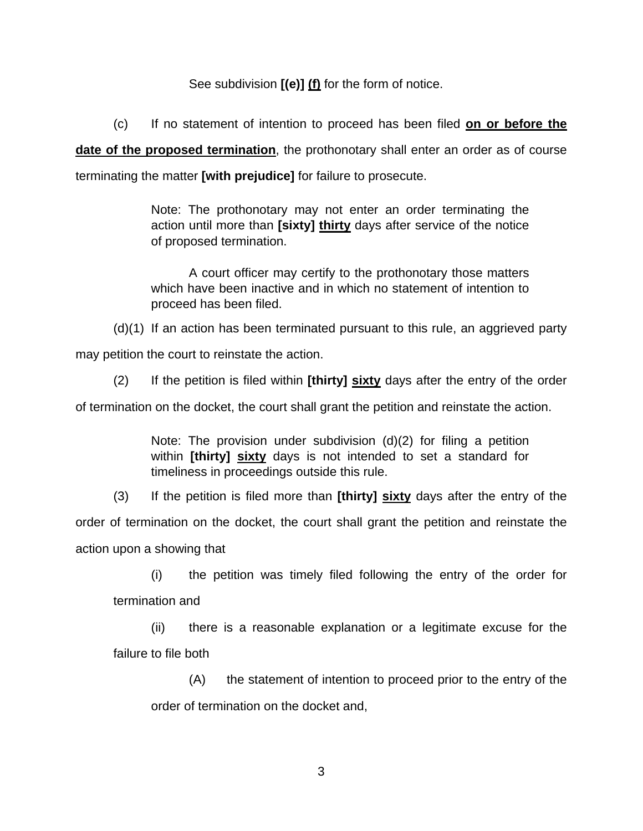See subdivision **[(e)] (f)** for the form of notice.

(c) If no statement of intention to proceed has been filed **on or before the** 

**date of the proposed termination**, the prothonotary shall enter an order as of course terminating the matter **[with prejudice]** for failure to prosecute.

> Note: The prothonotary may not enter an order terminating the action until more than **[sixty] thirty** days after service of the notice of proposed termination.

> A court officer may certify to the prothonotary those matters which have been inactive and in which no statement of intention to proceed has been filed.

(d)(1) If an action has been terminated pursuant to this rule, an aggrieved party

may petition the court to reinstate the action.

(2) If the petition is filed within **[thirty] sixty** days after the entry of the order

of termination on the docket, the court shall grant the petition and reinstate the action.

Note: The provision under subdivision (d)(2) for filing a petition within **[thirty] sixty** days is not intended to set a standard for timeliness in proceedings outside this rule.

(3) If the petition is filed more than **[thirty] sixty** days after the entry of the order of termination on the docket, the court shall grant the petition and reinstate the action upon a showing that

(i) the petition was timely filed following the entry of the order for termination and

(ii) there is a reasonable explanation or a legitimate excuse for the failure to file both

(A) the statement of intention to proceed prior to the entry of the order of termination on the docket and,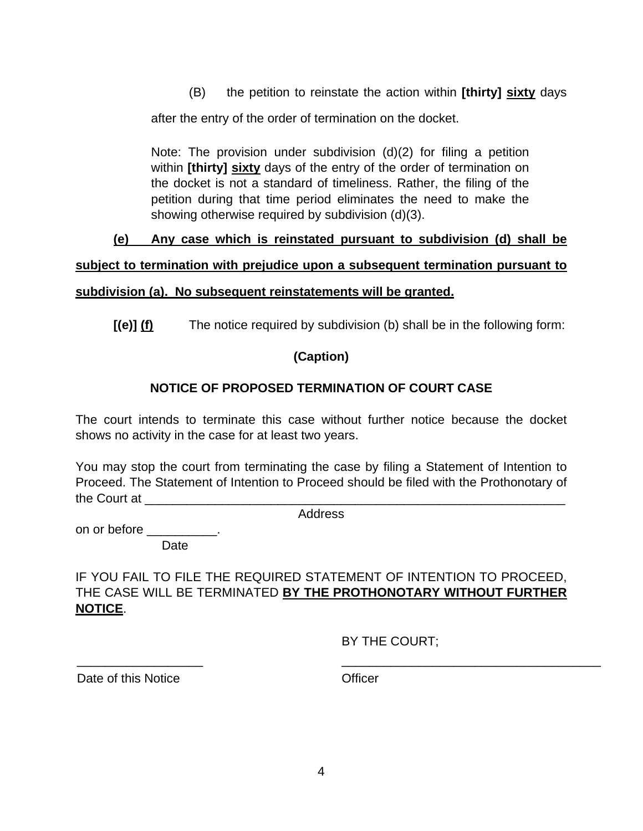(B) the petition to reinstate the action within **[thirty] sixty** days

after the entry of the order of termination on the docket.

Note: The provision under subdivision (d)(2) for filing a petition within **[thirty] sixty** days of the entry of the order of termination on the docket is not a standard of timeliness. Rather, the filing of the petition during that time period eliminates the need to make the showing otherwise required by subdivision (d)(3).

# **(e) Any case which is reinstated pursuant to subdivision (d) shall be**

#### **subject to termination with prejudice upon a subsequent termination pursuant to**

## **subdivision (a). No subsequent reinstatements will be granted.**

**[(e)] (f)** The notice required by subdivision (b) shall be in the following form:

# **(Caption)**

# **NOTICE OF PROPOSED TERMINATION OF COURT CASE**

The court intends to terminate this case without further notice because the docket shows no activity in the case for at least two years.

You may stop the court from terminating the case by filing a Statement of Intention to Proceed. The Statement of Intention to Proceed should be filed with the Prothonotary of the Court at  $\Box$ 

Address

on or before \_\_\_\_\_\_\_\_\_

Date

# IF YOU FAIL TO FILE THE REQUIRED STATEMENT OF INTENTION TO PROCEED, THE CASE WILL BE TERMINATED **BY THE PROTHONOTARY WITHOUT FURTHER NOTICE**.

BY THE COURT;

Date of this Notice **Contact Contact Contact Contact Contact Contact Contact Contact Contact Contact Contact Contact Contact Contact Contact Contact Contact Contact Contact Contact Contact Contact Contact Contact Contact C** 

\_\_\_\_\_\_\_\_\_\_\_\_\_\_\_\_\_\_ \_\_\_\_\_\_\_\_\_\_\_\_\_\_\_\_\_\_\_\_\_\_\_\_\_\_\_\_\_\_\_\_\_\_\_\_\_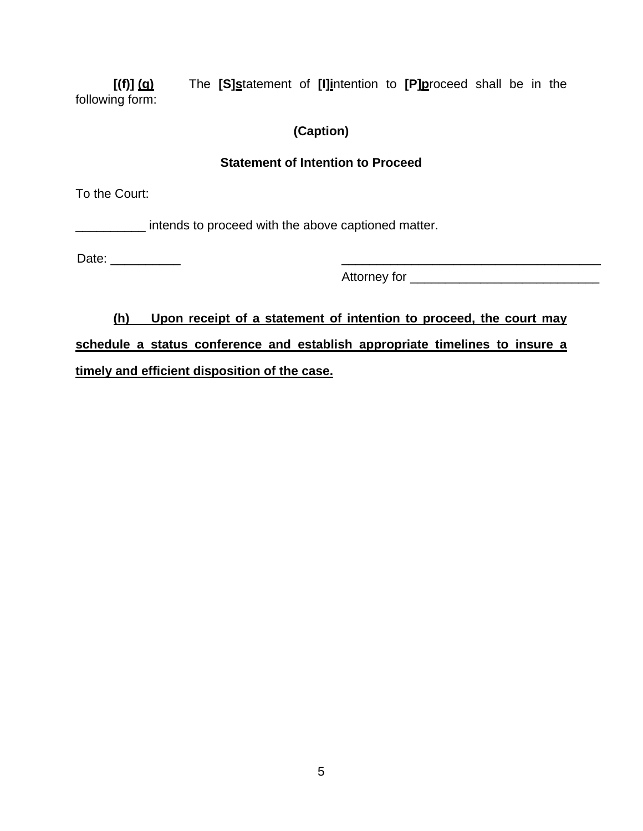**[(f)] (g)** The **[S]s**tatement of **[I]i**ntention to **[P]p**roceed shall be in the following form:

# **(Caption)**

## **Statement of Intention to Proceed**

To the Court:

\_\_\_\_\_\_\_\_\_\_ intends to proceed with the above captioned matter.

Date: \_\_\_\_\_\_\_\_\_\_ \_\_\_\_\_\_\_\_\_\_\_\_\_\_\_\_\_\_\_\_\_\_\_\_\_\_\_\_\_\_\_\_\_\_\_\_\_

Attorney for \_\_\_\_\_\_\_\_\_\_\_\_\_\_\_\_\_\_\_\_\_\_\_\_\_\_\_

**(h) Upon receipt of a statement of intention to proceed, the court may schedule a status conference and establish appropriate timelines to insure a timely and efficient disposition of the case.**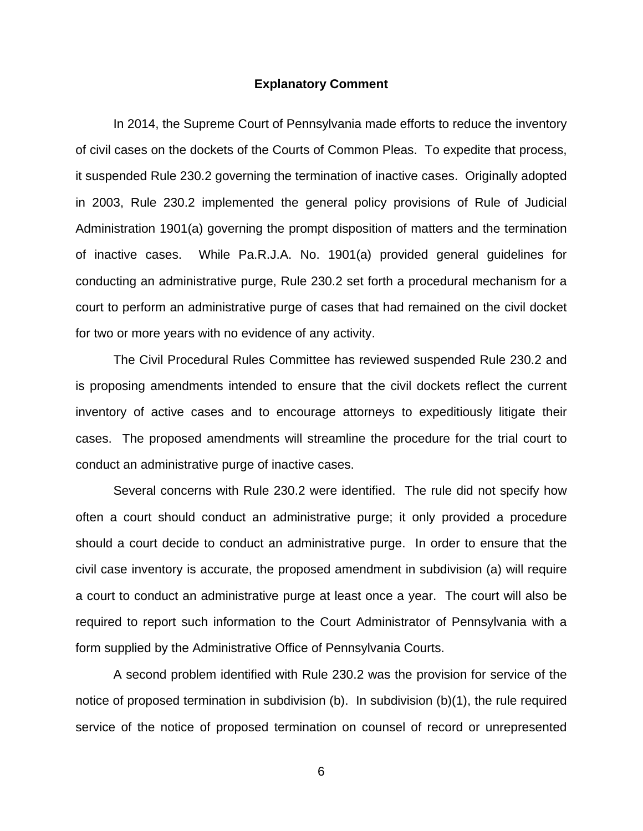#### **Explanatory Comment**

In 2014, the Supreme Court of Pennsylvania made efforts to reduce the inventory of civil cases on the dockets of the Courts of Common Pleas. To expedite that process, it suspended Rule 230.2 governing the termination of inactive cases. Originally adopted in 2003, Rule 230.2 implemented the general policy provisions of Rule of Judicial Administration 1901(a) governing the prompt disposition of matters and the termination of inactive cases. While Pa.R.J.A. No. 1901(a) provided general guidelines for conducting an administrative purge, Rule 230.2 set forth a procedural mechanism for a court to perform an administrative purge of cases that had remained on the civil docket for two or more years with no evidence of any activity.

The Civil Procedural Rules Committee has reviewed suspended Rule 230.2 and is proposing amendments intended to ensure that the civil dockets reflect the current inventory of active cases and to encourage attorneys to expeditiously litigate their cases. The proposed amendments will streamline the procedure for the trial court to conduct an administrative purge of inactive cases.

Several concerns with Rule 230.2 were identified. The rule did not specify how often a court should conduct an administrative purge; it only provided a procedure should a court decide to conduct an administrative purge. In order to ensure that the civil case inventory is accurate, the proposed amendment in subdivision (a) will require a court to conduct an administrative purge at least once a year. The court will also be required to report such information to the Court Administrator of Pennsylvania with a form supplied by the Administrative Office of Pennsylvania Courts.

A second problem identified with Rule 230.2 was the provision for service of the notice of proposed termination in subdivision (b). In subdivision (b)(1), the rule required service of the notice of proposed termination on counsel of record or unrepresented

6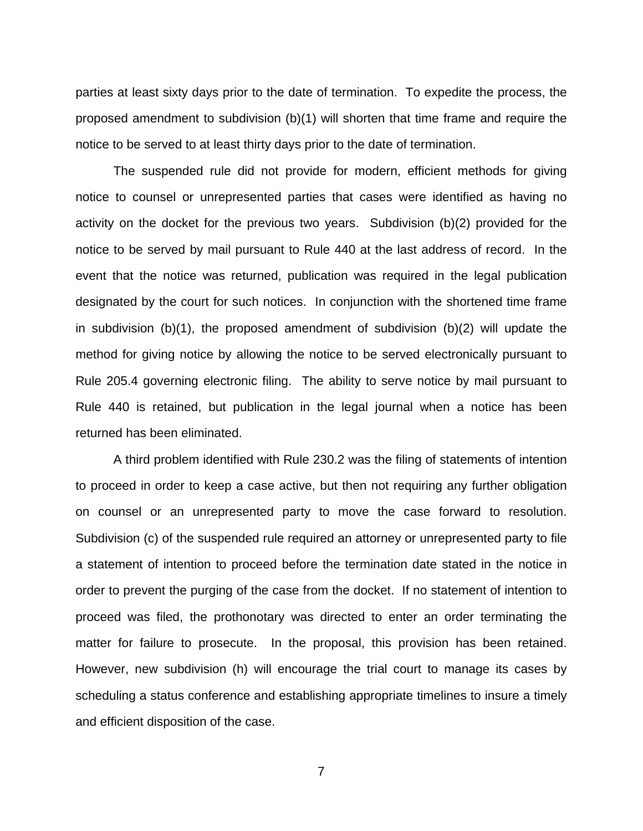parties at least sixty days prior to the date of termination. To expedite the process, the proposed amendment to subdivision (b)(1) will shorten that time frame and require the notice to be served to at least thirty days prior to the date of termination.

The suspended rule did not provide for modern, efficient methods for giving notice to counsel or unrepresented parties that cases were identified as having no activity on the docket for the previous two years. Subdivision (b)(2) provided for the notice to be served by mail pursuant to Rule 440 at the last address of record. In the event that the notice was returned, publication was required in the legal publication designated by the court for such notices. In conjunction with the shortened time frame in subdivision (b)(1), the proposed amendment of subdivision (b)(2) will update the method for giving notice by allowing the notice to be served electronically pursuant to Rule 205.4 governing electronic filing. The ability to serve notice by mail pursuant to Rule 440 is retained, but publication in the legal journal when a notice has been returned has been eliminated.

A third problem identified with Rule 230.2 was the filing of statements of intention to proceed in order to keep a case active, but then not requiring any further obligation on counsel or an unrepresented party to move the case forward to resolution. Subdivision (c) of the suspended rule required an attorney or unrepresented party to file a statement of intention to proceed before the termination date stated in the notice in order to prevent the purging of the case from the docket. If no statement of intention to proceed was filed, the prothonotary was directed to enter an order terminating the matter for failure to prosecute. In the proposal, this provision has been retained. However, new subdivision (h) will encourage the trial court to manage its cases by scheduling a status conference and establishing appropriate timelines to insure a timely and efficient disposition of the case.

7